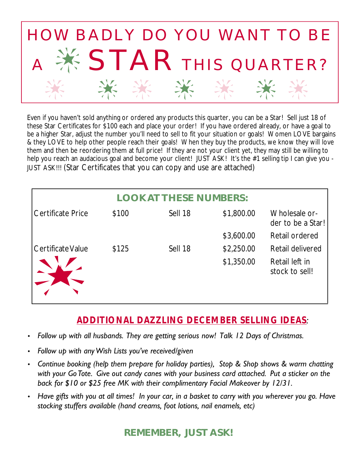

Even if you haven't sold anything or ordered any products this quarter, you can be a Star! Sell just 18 of these Star Certificates for \$100 each and place your order! If you have ordered already, or have a goal to be a higher Star, adjust the number you'll need to sell to fit your situation or goals! Women LOVE bargains & they LOVE to help other people reach their goals! When they buy the products, we know they will love them and then be reordering them at full price! If they are not your client yet, they may still be willing to help you reach an audacious goal and become your client! JUST ASK! It's the #1 selling tip I can give you -JUST ASK!!! (Star Certificates that you can copy and use are attached)

| <b>LOOK AT THESE NUMBERS:</b> |       |         |            |                                    |
|-------------------------------|-------|---------|------------|------------------------------------|
| Certificate Price             | \$100 | Sell 18 | \$1,800.00 | Wholesale or-<br>der to be a Star! |
|                               |       |         | \$3,600.00 | Retail ordered                     |
| Certificate Value             | \$125 | Sell 18 | \$2,250.00 | Retail delivered                   |
|                               |       |         | \$1,350.00 | Retail left in<br>stock to sell!   |

## *ADDITIONAL DAZZLING DECEMBER SELLING IDEAS:*

- *Follow up with all husbands. They are getting serious now! Talk 12 Days of Christmas.*
- *Follow up with any Wish Lists you've received/given*
- *Continue booking (help them prepare for holiday parties), Stop & Shop shows & warm chatting with your Go Tote. Give out candy canes with your business card attached. Put a sticker on the back for \$10 or \$25 free MK with their complimentary Facial Makeover by 12/31.*
- *Have gifts with you at all times! In your car, in a basket to carry with you wherever you go. Have stocking stuffers available (hand creams, foot lotions, nail enamels, etc)*

**REMEMBER, JUST ASK!**